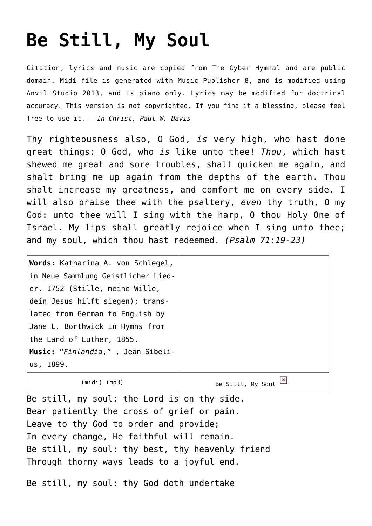## **[Be Still, My Soul](http://reproachofmen.org/hymns-and-music/be-still-my-soul/)**

Citation, lyrics and music are copied from [The Cyber Hymnal](http://www.hymntime.com/tch/) and are public domain. Midi file is generated with [Music Publisher 8](http://www.braeburn.co.uk/mp.htm), and is modified using [Anvil Studio 2013](http://www.anvilstudio.com/), and is piano only. Lyrics may be modified for doctrinal accuracy. This version is not copyrighted. If you find it a blessing, please feel free to use it. — *In Christ, Paul W. Davis*

Thy righteousness also, O God, *is* very high, who hast done great things: O God, who *is* like unto thee! *Thou*, which hast shewed me great and sore troubles, shalt quicken me again, and shalt bring me up again from the depths of the earth. Thou shalt increase my greatness, and comfort me on every side. I will also praise thee with the psaltery, *even* thy truth, O my God: unto thee will I sing with the harp, O thou Holy One of Israel. My lips shall greatly rejoice when I sing unto thee; and my soul, which thou hast redeemed. *(Psalm 71:19-23)*

| Words: Katharina A. von Schlegel,  |                   |
|------------------------------------|-------------------|
| in Neue Sammlung Geistlicher Lied- |                   |
| er, 1752 (Stille, meine Wille,     |                   |
| dein Jesus hilft siegen); trans-   |                   |
| lated from German to English by    |                   |
| Jane L. Borthwick in Hymns from    |                   |
| the Land of Luther, 1855.          |                   |
| Music: "Finlandia,", Jean Sibeli-  |                   |
| us, 1899.                          |                   |
| (midi) (mp3)                       | Be Still, My Soul |

Be still, my soul: the Lord is on thy side. Bear patiently the cross of grief or pain. Leave to thy God to order and provide; In every change, He faithful will remain. Be still, my soul: thy best, thy heavenly friend Through thorny ways leads to a joyful end.

Be still, my soul: thy God doth undertake